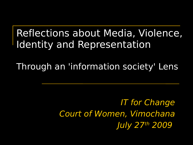# Reflections about Media, Violence, Identity and Representation

Through an 'information society' Lens

IT for Change Court of Women, Vimochana July 27th 2009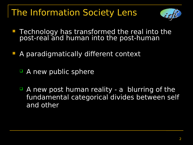## The Information Society Lens



- **Technology has transformed the real into the** post-real and human into the post-human
- **A paradigmatically different context** 
	- A new public sphere
	- A new post human reality a blurring of the fundamental categorical divides between self and other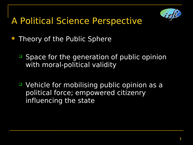

## A Political Science Perspective

- **Theory of the Public Sphere** 
	- Space for the generation of public opinion with moral-political validity
	- Vehicle for mobilising public opinion as a political force; empowered citizenry influencing the state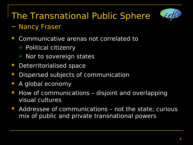

## The Transnational Public Sphere

### – Nancy Fraser

- **Communicative arenas not correlated to** 
	- **Political citizenry**
	- Nor to sovereign states
- **Deterritorialised space**
- **Dispersed subjects of communication**
- A global economy
- $\blacksquare$  How of communications disjoint and overlapping visual cultures
- **Addressee of communications not the state; curious** mix of public and private transnational powers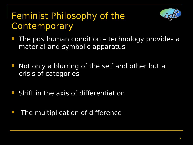### Feminist Philosophy of the **Contemporary**



- **The posthuman condition technology provides a** material and symbolic apparatus
- **Not only a blurring of the self and other but a** crisis of categories
- **Shift in the axis of differentiation**
- The multiplication of difference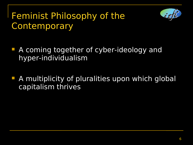### Feminist Philosophy of the **Contemporary**



- **A coming together of cyber-ideology and** hyper-individualism
- A multiplicity of pluralities upon which global capitalism thrives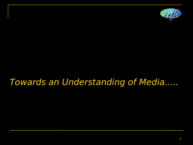

### Towards an Understanding of Media.....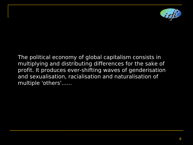

The political economy of global capitalism consists in multiplying and distributing differences for the sake of profit. It produces ever-shifting waves of genderisation and sexualisation, racialisation and naturalisation of multiple 'others'......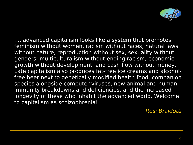

.....advanced capitalism looks like a system that promotes feminism without women, racism without races, natural laws without nature, reproduction without sex, sexuality without genders, multiculturalism without ending racism, economic growth without development, and cash flow without money. Late capitalism also produces fat-free ice creams and alcoholfree beer next to genetically modified health food, companion species alongside computer viruses, new animal and human immunity breakdowns and deficiencies, and the increased longevity of these who inhabit the advanced world. Welcome to capitalism as schizophrenia!

Rosi Braidotti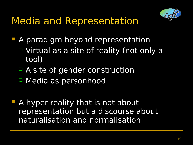

- **A paradigm beyond representation** 
	- Virtual as a site of reality (not only a tool)
	- A site of gender construction
	- Media as personhood
- **A hyper reality that is not about** representation but a discourse about naturalisation and normalisation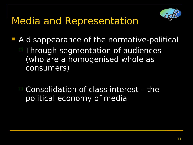- **A disappearance of the normative-political** 
	- □ Through segmentation of audiences (who are a homogenised whole as consumers)
	- Consolidation of class interest the political economy of media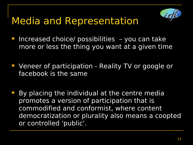- **Increased choice/ possibilities you can take** more or less the thing you want at a given time
- **Veneer of participation Reality TV or google or** facebook is the same
	- By placing the individual at the centre media promotes a version of participation that is commodified and conformist, where content democratization or plurality also means a coopted or controlled 'public'.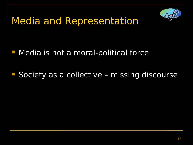

### **Media is not a moral-political force**

**Society as a collective – missing discourse**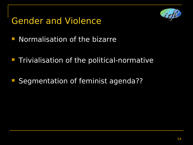### Gender and Violence



- **Normalisation of the bizarre**
- **Trivialisation of the political-normative**
- Segmentation of feminist agenda??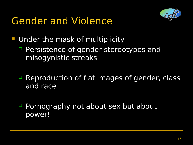# Gender and Violence



- **Under the mask of multiplicity** 
	- **Persistence of gender stereotypes and** misogynistic streaks
	- **P** Reproduction of flat images of gender, class and race
	- **Pornography not about sex but about** power!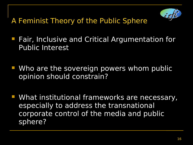

A Feminist Theory of the Public Sphere

- **Fair, Inclusive and Critical Argumentation for** Public Interest
- **Who are the sovereign powers whom public** opinion should constrain?
- **What institutional frameworks are necessary,** especially to address the transnational corporate control of the media and public sphere?